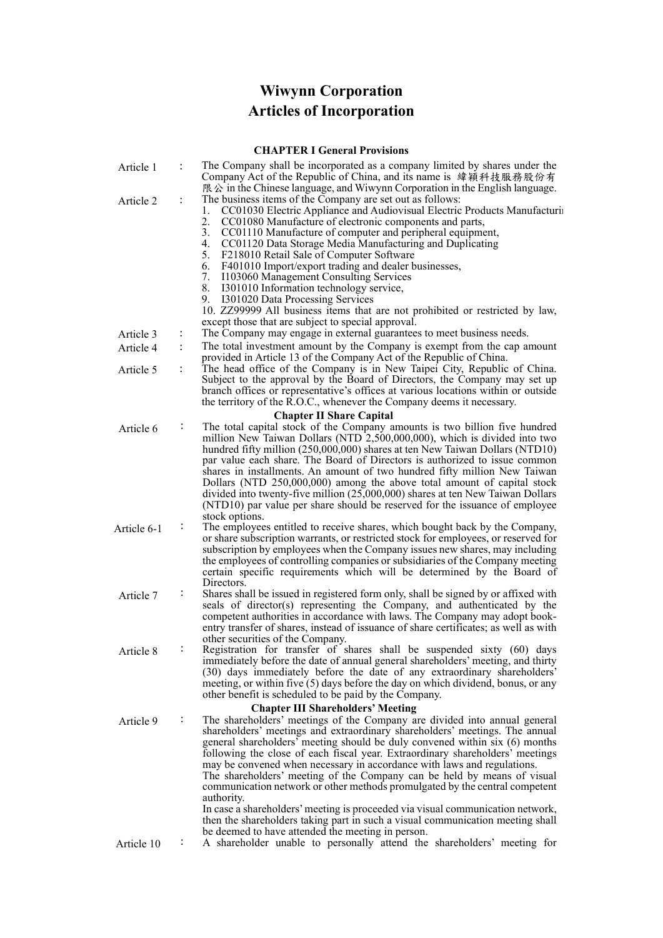## **Wiwynn Corporation Articles of Incorporation**

## **CHAPTER I General Provisions**

| Article 1   |                | The Company shall be incorporated as a company limited by shares under the<br>Company Act of the Republic of China, and its name is 緯穎科技服務股份有<br>$R \otimes$ in the Chinese language, and Wiwynn Corporation in the English language.                                                                                                                                                                                                                                                                                                                                                                                                                                                                                                                |
|-------------|----------------|------------------------------------------------------------------------------------------------------------------------------------------------------------------------------------------------------------------------------------------------------------------------------------------------------------------------------------------------------------------------------------------------------------------------------------------------------------------------------------------------------------------------------------------------------------------------------------------------------------------------------------------------------------------------------------------------------------------------------------------------------|
| Article 2   | $\ddot{\cdot}$ | The business items of the Company are set out as follows:<br>CC01030 Electric Appliance and Audiovisual Electric Products Manufacturing<br>1.<br>2.<br>CC01080 Manufacture of electronic components and parts,<br>3.<br>CC01110 Manufacture of computer and peripheral equipment,<br>4.<br>CC01120 Data Storage Media Manufacturing and Duplicating<br>5.<br>F218010 Retail Sale of Computer Software<br>6.<br>F401010 Import/export trading and dealer businesses,<br>7.<br>I103060 Management Consulting Services<br>8.<br>I301010 Information technology service,<br>9.<br>I301020 Data Processing Services<br>10. ZZ99999 All business items that are not prohibited or restricted by law,<br>except those that are subject to special approval. |
| Article 3   |                | The Company may engage in external guarantees to meet business needs.                                                                                                                                                                                                                                                                                                                                                                                                                                                                                                                                                                                                                                                                                |
| Article 4   | $\ddot{\cdot}$ | The total investment amount by the Company is exempt from the cap amount<br>provided in Article 13 of the Company Act of the Republic of China.                                                                                                                                                                                                                                                                                                                                                                                                                                                                                                                                                                                                      |
| Article 5   | $\ddot{\cdot}$ | The head office of the Company is in New Taipei City, Republic of China.<br>Subject to the approval by the Board of Directors, the Company may set up<br>branch offices or representative's offices at various locations within or outside<br>the territory of the R.O.C., whenever the Company deems it necessary.                                                                                                                                                                                                                                                                                                                                                                                                                                  |
|             |                | <b>Chapter II Share Capital</b>                                                                                                                                                                                                                                                                                                                                                                                                                                                                                                                                                                                                                                                                                                                      |
| Article 6   |                | The total capital stock of the Company amounts is two billion five hundred<br>million New Taiwan Dollars (NTD 2,500,000,000), which is divided into two<br>hundred fifty million (250,000,000) shares at ten New Taiwan Dollars (NTD10)<br>par value each share. The Board of Directors is authorized to issue common<br>shares in installments. An amount of two hundred fifty million New Taiwan<br>Dollars (NTD 250,000,000) among the above total amount of capital stock                                                                                                                                                                                                                                                                        |
|             |                | divided into twenty-five million (25,000,000) shares at ten New Taiwan Dollars<br>(NTD10) par value per share should be reserved for the issuance of employee<br>stock options.                                                                                                                                                                                                                                                                                                                                                                                                                                                                                                                                                                      |
| Article 6-1 |                | The employees entitled to receive shares, which bought back by the Company,<br>or share subscription warrants, or restricted stock for employees, or reserved for<br>subscription by employees when the Company issues new shares, may including<br>the employees of controlling companies or subsidiaries of the Company meeting<br>certain specific requirements which will be determined by the Board of<br>Directors.                                                                                                                                                                                                                                                                                                                            |
| Article 7   | $\ddot{\cdot}$ | Shares shall be issued in registered form only, shall be signed by or affixed with<br>seals of director(s) representing the Company, and authenticated by the<br>competent authorities in accordance with laws. The Company may adopt book-<br>entry transfer of shares, instead of issuance of share certificates; as well as with<br>other securities of the Company.                                                                                                                                                                                                                                                                                                                                                                              |
| Article 8   |                | Registration for transfer of shares shall be suspended sixty (60) days<br>immediately before the date of annual general shareholders' meeting, and thirty<br>(30) days immediately before the date of any extraordinary shareholders'<br>meeting, or within five (5) days before the day on which dividend, bonus, or any<br>other benefit is scheduled to be paid by the Company.<br><b>Chapter III Shareholders' Meeting</b>                                                                                                                                                                                                                                                                                                                       |
| Article 9   |                | The shareholders' meetings of the Company are divided into annual general<br>shareholders' meetings and extraordinary shareholders' meetings. The annual<br>general shareholders' meeting should be duly convened within six (6) months<br>following the close of each fiscal year. Extraordinary shareholders' meetings<br>may be convened when necessary in accordance with laws and regulations.<br>The shareholders' meeting of the Company can be held by means of visual<br>communication network or other methods promulgated by the central competent<br>authority.                                                                                                                                                                          |
| Article 10  | ÷              | In case a shareholders' meeting is proceeded via visual communication network,<br>then the shareholders taking part in such a visual communication meeting shall<br>be deemed to have attended the meeting in person.<br>A shareholder unable to personally attend the shareholders' meeting for                                                                                                                                                                                                                                                                                                                                                                                                                                                     |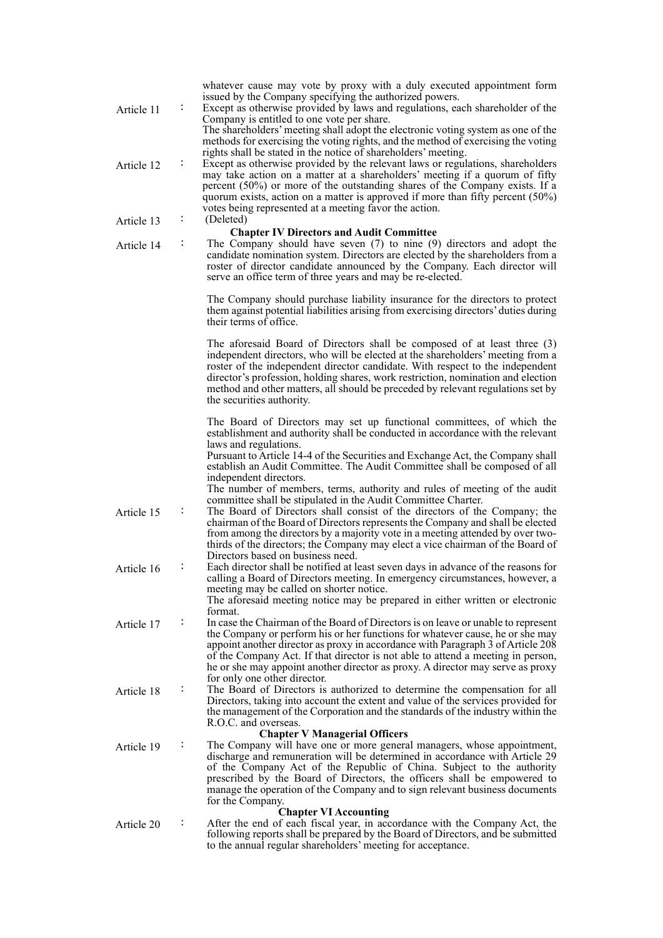| Article 11 |                | whatever cause may vote by proxy with a duly executed appointment form<br>issued by the Company specifying the authorized powers.<br>Except as otherwise provided by laws and regulations, each shareholder of the<br>Company is entitled to one vote per share.<br>The shareholders' meeting shall adopt the electronic voting system as one of the                                                                                                                                                                                               |
|------------|----------------|----------------------------------------------------------------------------------------------------------------------------------------------------------------------------------------------------------------------------------------------------------------------------------------------------------------------------------------------------------------------------------------------------------------------------------------------------------------------------------------------------------------------------------------------------|
| Article 12 |                | methods for exercising the voting rights, and the method of exercising the voting<br>rights shall be stated in the notice of shareholders' meeting.<br>Except as otherwise provided by the relevant laws or regulations, shareholders<br>may take action on a matter at a shareholders' meeting if a quorum of fifty<br>percent (50%) or more of the outstanding shares of the Company exists. If a<br>quorum exists, action on a matter is approved if more than fifty percent $(50\%)$<br>votes being represented at a meeting favor the action. |
| Article 13 |                | (Deleted)                                                                                                                                                                                                                                                                                                                                                                                                                                                                                                                                          |
| Article 14 | $\ddot{\cdot}$ | <b>Chapter IV Directors and Audit Committee</b><br>The Company should have seven $(7)$ to nine $(9)$ directors and adopt the<br>candidate nomination system. Directors are elected by the shareholders from a<br>roster of director candidate announced by the Company. Each director will<br>serve an office term of three years and may be re-elected.                                                                                                                                                                                           |
|            |                | The Company should purchase liability insurance for the directors to protect<br>them against potential liabilities arising from exercising directors' duties during<br>their terms of office.                                                                                                                                                                                                                                                                                                                                                      |
|            |                | The aforesaid Board of Directors shall be composed of at least three (3)<br>independent directors, who will be elected at the shareholders' meeting from a<br>roster of the independent director candidate. With respect to the independent<br>director's profession, holding shares, work restriction, nomination and election<br>method and other matters, all should be preceded by relevant regulations set by<br>the securities authority.                                                                                                    |
|            |                | The Board of Directors may set up functional committees, of which the<br>establishment and authority shall be conducted in accordance with the relevant<br>laws and regulations.                                                                                                                                                                                                                                                                                                                                                                   |
|            |                | Pursuant to Article 14-4 of the Securities and Exchange Act, the Company shall<br>establish an Audit Committee. The Audit Committee shall be composed of all<br>independent directors.                                                                                                                                                                                                                                                                                                                                                             |
| Article 15 |                | The number of members, terms, authority and rules of meeting of the audit<br>committee shall be stipulated in the Audit Committee Charter.<br>The Board of Directors shall consist of the directors of the Company; the<br>chairman of the Board of Directors represents the Company and shall be elected<br>from among the directors by a majority vote in a meeting attended by over two-<br>thirds of the directors; the Company may elect a vice chairman of the Board of                                                                      |
| Article 16 | $\ddot{\cdot}$ | Directors based on business need.<br>Each director shall be notified at least seven days in advance of the reasons for<br>calling a Board of Directors meeting. In emergency circumstances, however, a<br>meeting may be called on shorter notice.                                                                                                                                                                                                                                                                                                 |
|            |                | The aforesaid meeting notice may be prepared in either written or electronic<br>format.                                                                                                                                                                                                                                                                                                                                                                                                                                                            |
| Article 17 |                | In case the Chairman of the Board of Directors is on leave or unable to represent<br>the Company or perform his or her functions for whatever cause, he or she may<br>appoint another director as proxy in accordance with Paragraph 3 of Article 208<br>of the Company Act. If that director is not able to attend a meeting in person,<br>he or she may appoint another director as proxy. A director may serve as proxy                                                                                                                         |
| Article 18 | ÷              | for only one other director.<br>The Board of Directors is authorized to determine the compensation for all<br>Directors, taking into account the extent and value of the services provided for<br>the management of the Corporation and the standards of the industry within the<br>R.O.C. and overseas.                                                                                                                                                                                                                                           |
|            |                | <b>Chapter V Managerial Officers</b>                                                                                                                                                                                                                                                                                                                                                                                                                                                                                                               |
| Article 19 |                | The Company will have one or more general managers, whose appointment,<br>discharge and remuneration will be determined in accordance with Article 29<br>of the Company Act of the Republic of China. Subject to the authority<br>prescribed by the Board of Directors, the officers shall be empowered to<br>manage the operation of the Company and to sign relevant business documents<br>for the Company.                                                                                                                                      |
|            |                | <b>Chapter VI Accounting</b>                                                                                                                                                                                                                                                                                                                                                                                                                                                                                                                       |
| Article 20 | ÷              | After the end of each fiscal year, in accordance with the Company Act, the<br>following reports shall be prepared by the Board of Directors, and be submitted<br>to the annual regular shareholders' meeting for acceptance.                                                                                                                                                                                                                                                                                                                       |